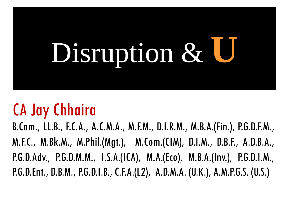# Disruption &

# CA Jay Chhaira

B.Com., LL.B., F.C.A., A.C.M.A., M.F.M., D.I.R.M., M.B.A.(Fin.), P.G.D.F.M., M.F.C., M.Bk.M., M.Phil.(Mgt.), M.Com.(CIM), D.I.M., D.B.F., A.D.B.A., P.G.D.Adv., P.G.D.M.M., I.S.A.(ICA), M.A.(Eco), M.B.A.(Inv.), P.G.D.I.M., P.G.D.Ent., D.B.M., P.G.D.I.B., C.F.A.(L2), A.D.M.A. (U.K.), A.M.P.G.S. (U.S.)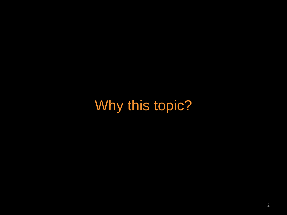Why this topic?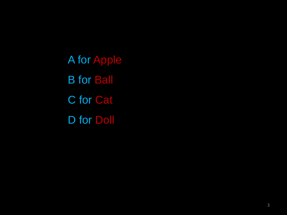A for Apple B for Ball C for Cat D for Doll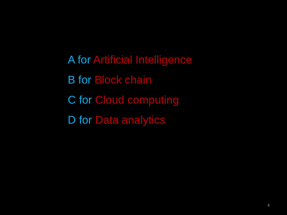A for Artificial Intelligence B for Block chain C for Cloud computing D for Data analytics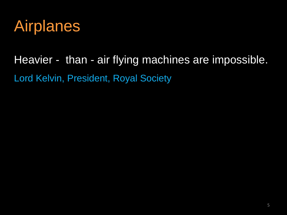

Heavier - than - air flying machines are impossible. Lord Kelvin, President, Royal Society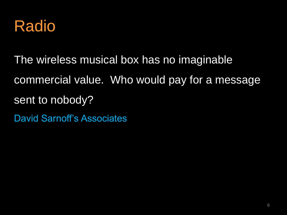

The wireless musical box has no imaginable commercial value. Who would pay for a message sent to nobody? David Sarnoff's Associates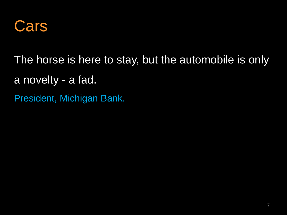

The horse is here to stay, but the automobile is only a novelty - a fad.

President, Michigan Bank.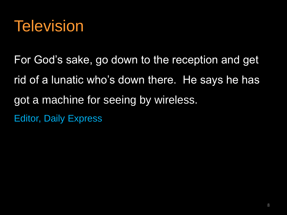

For God's sake, go down to the reception and get rid of a lunatic who's down there. He says he has got a machine for seeing by wireless. Editor, Daily Express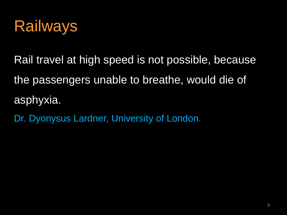

Rail travel at high speed is not possible, because the passengers unable to breathe, would die of asphyxia.

Dr. Dyonysus Lardner, University of London.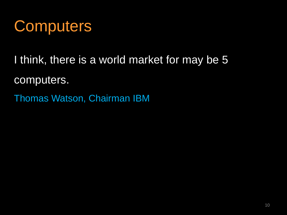

I think, there is a world market for may be 5 computers.

Thomas Watson, Chairman IBM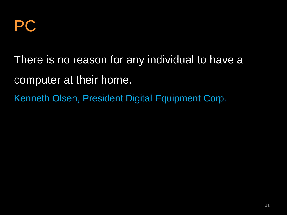

There is no reason for any individual to have a computer at their home. Kenneth Olsen, President Digital Equipment Corp.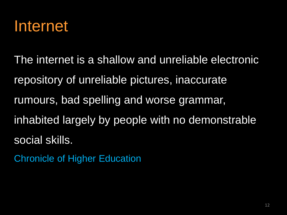

The internet is a shallow and unreliable electronic repository of unreliable pictures, inaccurate rumours, bad spelling and worse grammar, inhabited largely by people with no demonstrable social skills.

Chronicle of Higher Education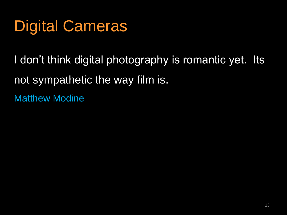## Digital Cameras

I don't think digital photography is romantic yet. Its not sympathetic the way film is. Matthew Modine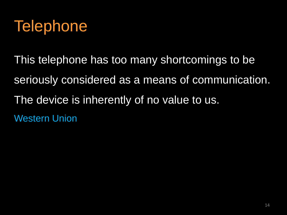

This telephone has too many shortcomings to be seriously considered as a means of communication. The device is inherently of no value to us. Western Union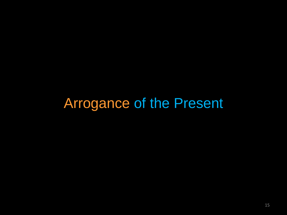#### Arrogance of the Present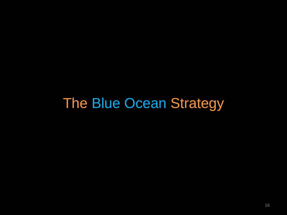#### The Blue Ocean Strategy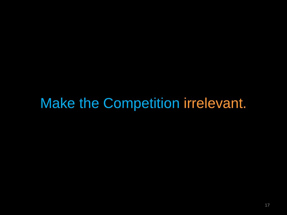#### Make the Competition irrelevant.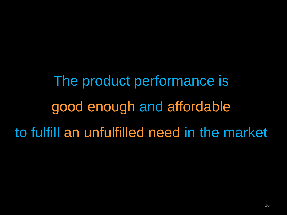The product performance is good enough and affordable to fulfill an unfulfilled need in the market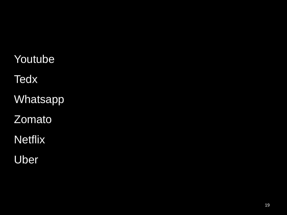- Youtube
- **Tedx**
- **Whatsapp**
- Zomato
- **Netflix**
- Uber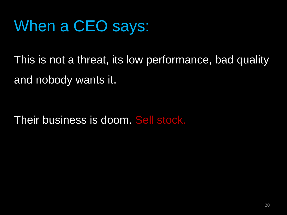# When a CEO says:

This is not a threat, its low performance, bad quality and nobody wants it.

Their business is doom. Sell stock.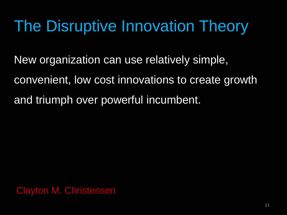New organization can use relatively simple, convenient, low cost innovations to create growth and triumph over powerful incumbent.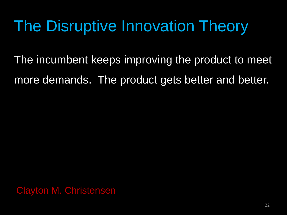The incumbent keeps improving the product to meet more demands. The product gets better and better.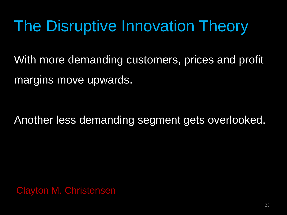With more demanding customers, prices and profit margins move upwards.

Another less demanding segment gets overlooked.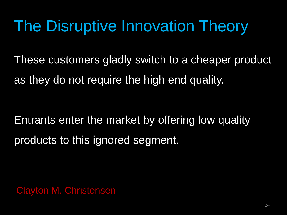These customers gladly switch to a cheaper product as they do not require the high end quality.

Entrants enter the market by offering low quality products to this ignored segment.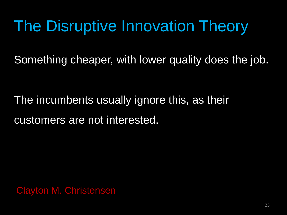Something cheaper, with lower quality does the job.

The incumbents usually ignore this, as their customers are not interested.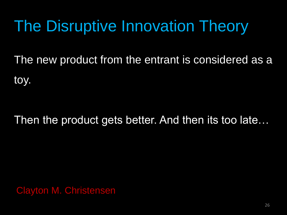The new product from the entrant is considered as a toy.

#### Then the product gets better. And then its too late…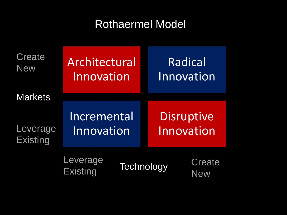#### Rothaermel Model

| Create<br><b>New</b>        | Architectural<br>Innovation                                     |  | Radical<br>Innovation           |  |
|-----------------------------|-----------------------------------------------------------------|--|---------------------------------|--|
| <b>Markets</b>              |                                                                 |  |                                 |  |
| Leverage<br><b>Existing</b> | Incremental<br>Innovation<br><b>Leverage</b><br><b>Existing</b> |  | <b>Disruptive</b><br>Innovation |  |
|                             |                                                                 |  | <b>Technology</b>               |  |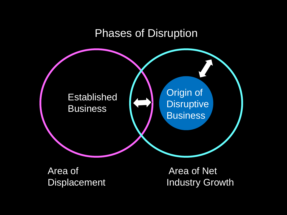#### Phases of Disruption



Area of **Displacement** 

Area of Net Industry Growth